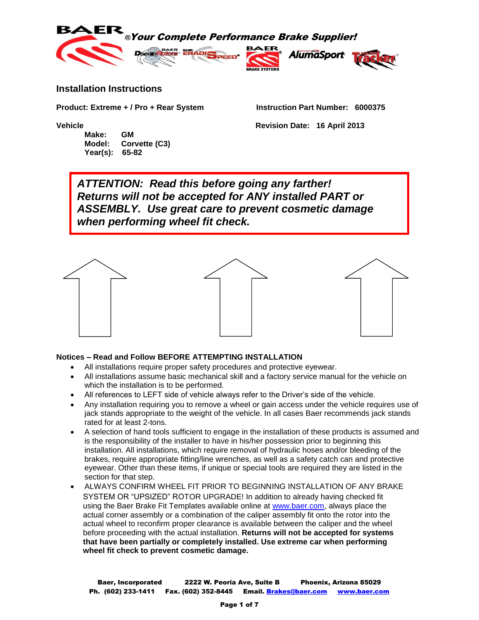





#### **Installation Instructions**

**Product: Extreme + / Pro + Rear System Instruction Part Number: 6000375**

**Make: GM Model: Corvette (C3) Year(s): 65-82**

**Vehicle Revision Date: 16 April 2013**

*ATTENTION: Read this before going any farther! Returns will not be accepted for ANY installed PART or ASSEMBLY. Use great care to prevent cosmetic damage when performing wheel fit check.*



#### **Notices – Read and Follow BEFORE ATTEMPTING INSTALLATION**

- All installations require proper safety procedures and protective eyewear.
- All installations assume basic mechanical skill and a factory service manual for the vehicle on which the installation is to be performed.
- All references to LEFT side of vehicle always refer to the Driver's side of the vehicle.
- Any installation requiring you to remove a wheel or gain access under the vehicle requires use of jack stands appropriate to the weight of the vehicle. In all cases Baer recommends jack stands rated for at least 2-tons.
- A selection of hand tools sufficient to engage in the installation of these products is assumed and is the responsibility of the installer to have in his/her possession prior to beginning this installation. All installations, which require removal of hydraulic hoses and/or bleeding of the brakes, require appropriate fitting/line wrenches, as well as a safety catch can and protective eyewear. Other than these items, if unique or special tools are required they are listed in the section for that step.
- ALWAYS CONFIRM WHEEL FIT PRIOR TO BEGINNING INSTALLATION OF ANY BRAKE SYSTEM OR "UPSIZED" ROTOR UPGRADE! In addition to already having checked fit using the Baer Brake Fit Templates available online at [www.baer.com,](http://www.baer.com/) always place the actual corner assembly or a combination of the caliper assembly fit onto the rotor into the actual wheel to reconfirm proper clearance is available between the caliper and the wheel before proceeding with the actual installation. **Returns will not be accepted for systems that have been partially or completely installed. Use extreme car when performing wheel fit check to prevent cosmetic damage.**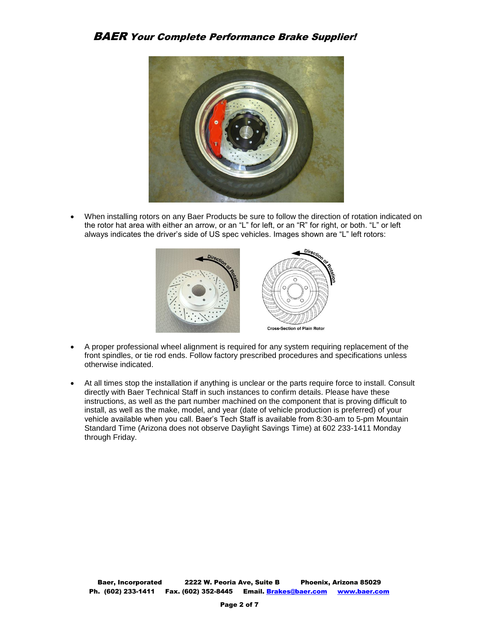### BAER Your Complete Performance Brake Supplier!



 When installing rotors on any Baer Products be sure to follow the direction of rotation indicated on the rotor hat area with either an arrow, or an "L" for left, or an "R" for right, or both. "L" or left always indicates the driver's side of US spec vehicles. Images shown are "L" left rotors:



- A proper professional wheel alignment is required for any system requiring replacement of the front spindles, or tie rod ends. Follow factory prescribed procedures and specifications unless otherwise indicated.
- At all times stop the installation if anything is unclear or the parts require force to install. Consult directly with Baer Technical Staff in such instances to confirm details. Please have these instructions, as well as the part number machined on the component that is proving difficult to install, as well as the make, model, and year (date of vehicle production is preferred) of your vehicle available when you call. Baer's Tech Staff is available from 8:30-am to 5-pm Mountain Standard Time (Arizona does not observe Daylight Savings Time) at 602 233-1411 Monday through Friday.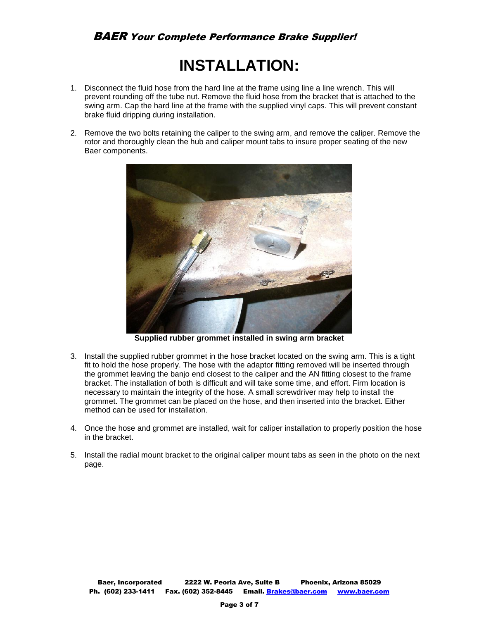# **INSTALLATION:**

- 1. Disconnect the fluid hose from the hard line at the frame using line a line wrench. This will prevent rounding off the tube nut. Remove the fluid hose from the bracket that is attached to the swing arm. Cap the hard line at the frame with the supplied vinyl caps. This will prevent constant brake fluid dripping during installation.
- 2. Remove the two bolts retaining the caliper to the swing arm, and remove the caliper. Remove the rotor and thoroughly clean the hub and caliper mount tabs to insure proper seating of the new Baer components.



**Supplied rubber grommet installed in swing arm bracket**

- 3. Install the supplied rubber grommet in the hose bracket located on the swing arm. This is a tight fit to hold the hose properly. The hose with the adaptor fitting removed will be inserted through the grommet leaving the banjo end closest to the caliper and the AN fitting closest to the frame bracket. The installation of both is difficult and will take some time, and effort. Firm location is necessary to maintain the integrity of the hose. A small screwdriver may help to install the grommet. The grommet can be placed on the hose, and then inserted into the bracket. Either method can be used for installation.
- 4. Once the hose and grommet are installed, wait for caliper installation to properly position the hose in the bracket.
- 5. Install the radial mount bracket to the original caliper mount tabs as seen in the photo on the next page.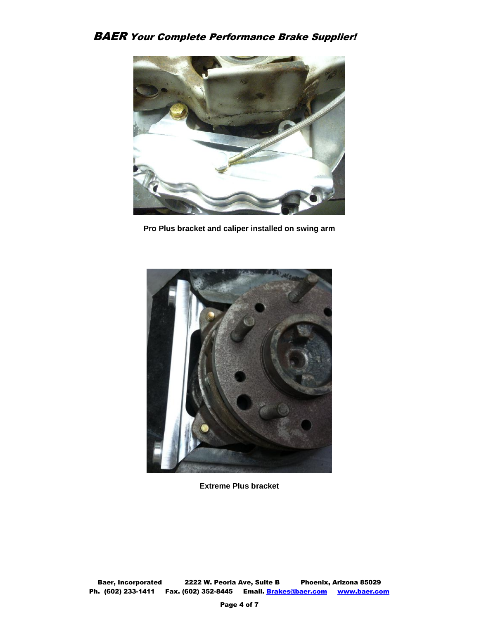BAER Your Complete Performance Brake Supplier!



**Pro Plus bracket and caliper installed on swing arm**



**Extreme Plus bracket**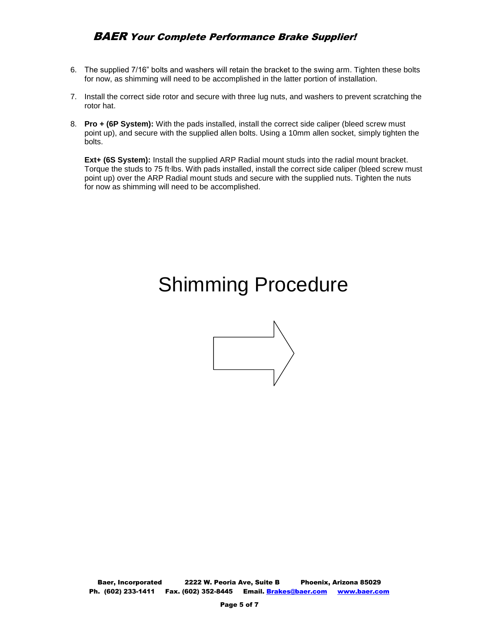## BAER Your Complete Performance Brake Supplier!

- 6. The supplied 7/16" bolts and washers will retain the bracket to the swing arm. Tighten these bolts for now, as shimming will need to be accomplished in the latter portion of installation.
- 7. Install the correct side rotor and secure with three lug nuts, and washers to prevent scratching the rotor hat.
- 8. **Pro + (6P System):** With the pads installed, install the correct side caliper (bleed screw must point up), and secure with the supplied allen bolts. Using a 10mm allen socket, simply tighten the bolts.

**Ext+ (6S System):** Install the supplied ARP Radial mount studs into the radial mount bracket. Torque the studs to 75 ft∙lbs. With pads installed, install the correct side caliper (bleed screw must point up) over the ARP Radial mount studs and secure with the supplied nuts. Tighten the nuts for now as shimming will need to be accomplished.

# Shimming Procedure

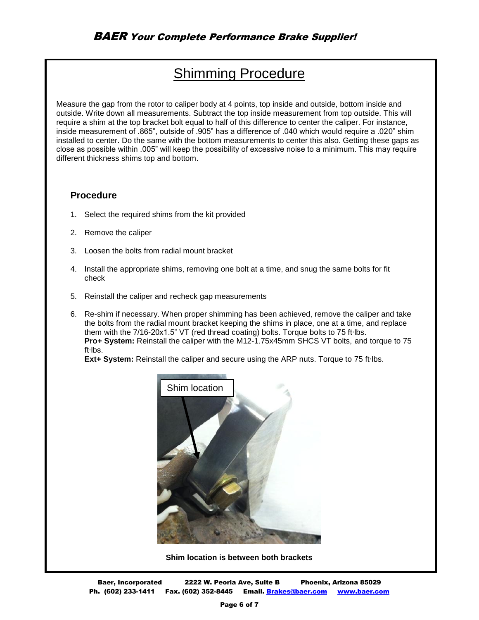# **Shimming Procedure**

Measure the gap from the rotor to caliper body at 4 points, top inside and outside, bottom inside and outside. Write down all measurements. Subtract the top inside measurement from top outside. This will require a shim at the top bracket bolt equal to half of this difference to center the caliper. For instance, inside measurement of .865", outside of .905" has a difference of .040 which would require a .020" shim installed to center. Do the same with the bottom measurements to center this also. Getting these gaps as close as possible within .005" will keep the possibility of excessive noise to a minimum. This may require different thickness shims top and bottom.

#### **Procedure**

- 1. Select the required shims from the kit provided
- 2. Remove the caliper
- 3. Loosen the bolts from radial mount bracket
- 4. Install the appropriate shims, removing one bolt at a time, and snug the same bolts for fit check
- 5. Reinstall the caliper and recheck gap measurements
- 6. Re-shim if necessary. When proper shimming has been achieved, remove the caliper and take the bolts from the radial mount bracket keeping the shims in place, one at a time, and replace them with the 7/16-20x1.5" VT (red thread coating) bolts. Torque bolts to 75 ft∙lbs. **Pro+ System:** Reinstall the caliper with the M12-1.75x45mm SHCS VT bolts, and torque to 75 ft∙lbs.

**Ext+ System:** Reinstall the caliper and secure using the ARP nuts. Torque to 75 ft∙lbs.



**Shim location is between both brackets**